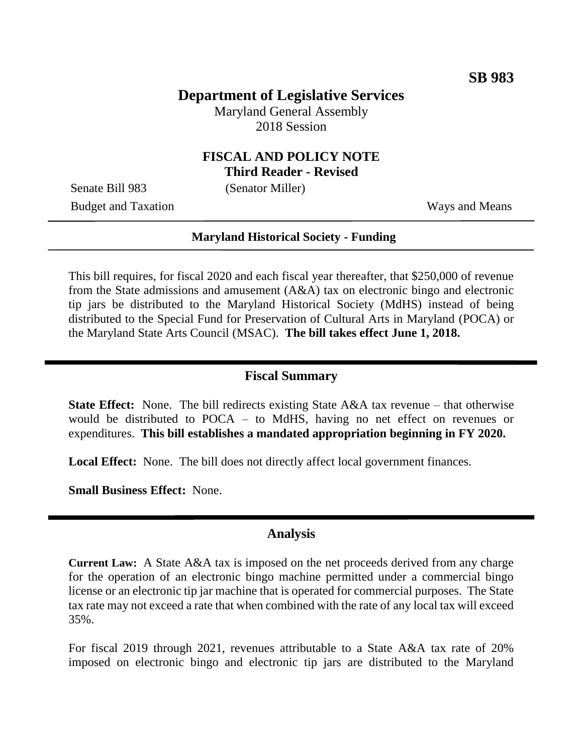# **Department of Legislative Services**

Maryland General Assembly 2018 Session

# **FISCAL AND POLICY NOTE**

**Third Reader - Revised**

Senate Bill 983 (Senator Miller)

Budget and Taxation Ways and Means

#### **Maryland Historical Society - Funding**

This bill requires, for fiscal 2020 and each fiscal year thereafter, that \$250,000 of revenue from the State admissions and amusement (A&A) tax on electronic bingo and electronic tip jars be distributed to the Maryland Historical Society (MdHS) instead of being distributed to the Special Fund for Preservation of Cultural Arts in Maryland (POCA) or the Maryland State Arts Council (MSAC). **The bill takes effect June 1, 2018.**

## **Fiscal Summary**

**State Effect:** None. The bill redirects existing State A&A tax revenue – that otherwise would be distributed to POCA – to MdHS, having no net effect on revenues or expenditures. **This bill establishes a mandated appropriation beginning in FY 2020.**

**Local Effect:** None. The bill does not directly affect local government finances.

**Small Business Effect:** None.

### **Analysis**

**Current Law:** A State A&A tax is imposed on the net proceeds derived from any charge for the operation of an electronic bingo machine permitted under a commercial bingo license or an electronic tip jar machine that is operated for commercial purposes. The State tax rate may not exceed a rate that when combined with the rate of any local tax will exceed 35%.

For fiscal 2019 through 2021, revenues attributable to a State A&A tax rate of 20% imposed on electronic bingo and electronic tip jars are distributed to the Maryland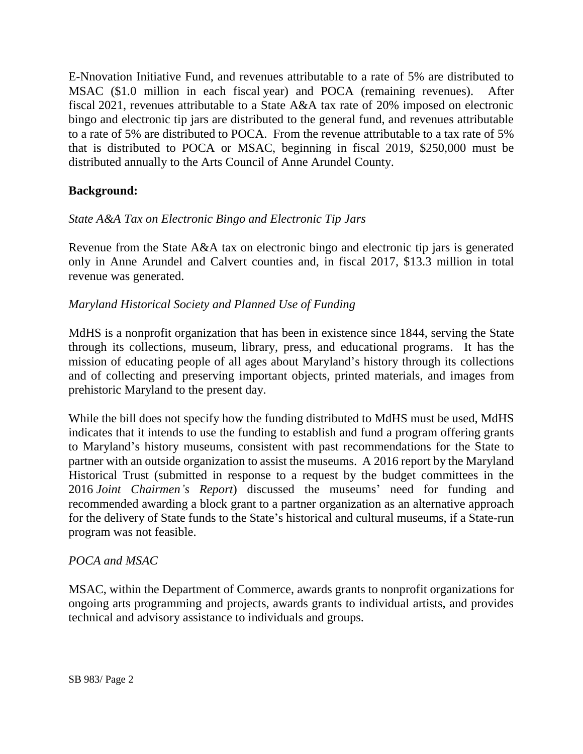E-Nnovation Initiative Fund, and revenues attributable to a rate of 5% are distributed to MSAC (\$1.0 million in each fiscal year) and POCA (remaining revenues). After fiscal 2021, revenues attributable to a State A&A tax rate of 20% imposed on electronic bingo and electronic tip jars are distributed to the general fund, and revenues attributable to a rate of 5% are distributed to POCA. From the revenue attributable to a tax rate of 5% that is distributed to POCA or MSAC, beginning in fiscal 2019, \$250,000 must be distributed annually to the Arts Council of Anne Arundel County.

## **Background:**

## *State A&A Tax on Electronic Bingo and Electronic Tip Jars*

Revenue from the State A&A tax on electronic bingo and electronic tip jars is generated only in Anne Arundel and Calvert counties and, in fiscal 2017, \$13.3 million in total revenue was generated.

### *Maryland Historical Society and Planned Use of Funding*

MdHS is a nonprofit organization that has been in existence since 1844, serving the State through its collections, museum, library, press, and educational programs. It has the mission of educating people of all ages about Maryland's history through its collections and of collecting and preserving important objects, printed materials, and images from prehistoric Maryland to the present day.

While the bill does not specify how the funding distributed to MdHS must be used, MdHS indicates that it intends to use the funding to establish and fund a program offering grants to Maryland's history museums, consistent with past recommendations for the State to partner with an outside organization to assist the museums. A 2016 report by the Maryland Historical Trust (submitted in response to a request by the budget committees in the 2016 *Joint Chairmen's Report*) discussed the museums' need for funding and recommended awarding a block grant to a partner organization as an alternative approach for the delivery of State funds to the State's historical and cultural museums, if a State-run program was not feasible.

### *POCA and MSAC*

MSAC, within the Department of Commerce, awards grants to nonprofit organizations for ongoing arts programming and projects, awards grants to individual artists, and provides technical and advisory assistance to individuals and groups.